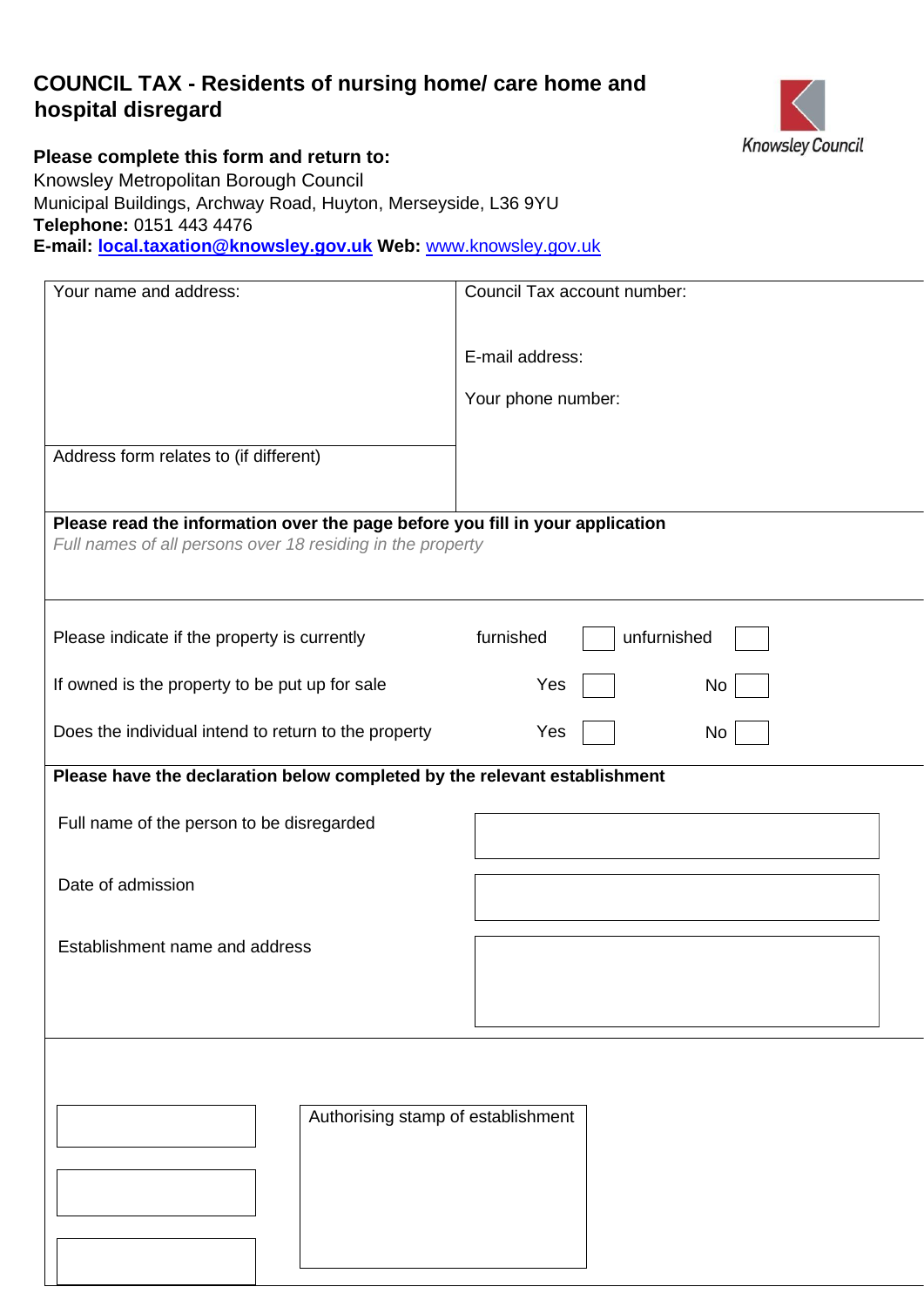### **COUNCIL TAX - Residents of nursing home/ care home and hospital disregard**



**Please complete this form and return to:**  Knowsley Metropolitan Borough Council Municipal Buildings, Archway Road, Huyton, Merseyside, L36 9YU

**Telephone:** 0151 443 4476

**E-mail: local.taxation@knowsley.gov.uk Web:** [www.knowsley.gov.uk](http://www.knowsley.gov.uk/) 

| Council Tax account number:                                                                                                                 |
|---------------------------------------------------------------------------------------------------------------------------------------------|
| E-mail address:                                                                                                                             |
| Your phone number:                                                                                                                          |
|                                                                                                                                             |
|                                                                                                                                             |
| Please read the information over the page before you fill in your application<br>Full names of all persons over 18 residing in the property |
| furnished<br>unfurnished                                                                                                                    |
| Yes<br>No                                                                                                                                   |
| Yes<br>No                                                                                                                                   |
| Please have the declaration below completed by the relevant establishment                                                                   |
|                                                                                                                                             |
|                                                                                                                                             |
|                                                                                                                                             |
|                                                                                                                                             |
|                                                                                                                                             |
| Authorising stamp of establishment                                                                                                          |
|                                                                                                                                             |
|                                                                                                                                             |
|                                                                                                                                             |
|                                                                                                                                             |